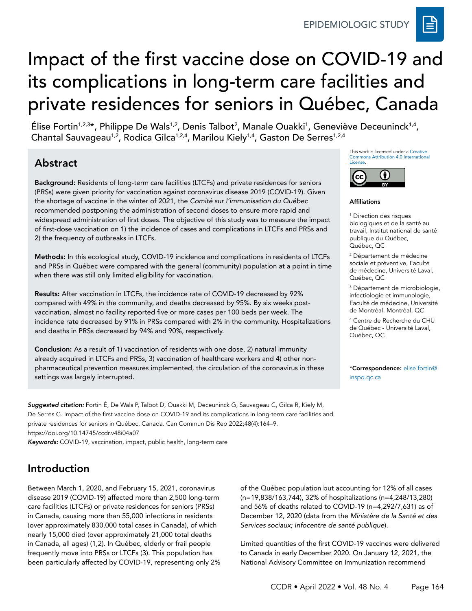# Impact of the first vaccine dose on COVID-19 and its complications in long-term care facilities and private residences for seniors in Québec, Canada

Élise Fortin<sup>1,2,3</sup>\*, Philippe De Wals<sup>1,2</sup>, Denis Talbot<sup>2</sup>, Manale Ouakki<sup>1</sup>, Geneviève Deceuninck<sup>1,4</sup>, Chantal Sauvageau<sup>1,2</sup>, Rodica Gilca<sup>1,2,4</sup>, Marilou Kiely<sup>1,4</sup>, Gaston De Serres<sup>1,2,4</sup>

# Abstract

Background: Residents of long-term care facilities (LTCFs) and private residences for seniors (PRSs) were given priority for vaccination against coronavirus disease 2019 (COVID-19). Given the shortage of vaccine in the winter of 2021, the *Comité sur l'immunisation du Québec* recommended postponing the administration of second doses to ensure more rapid and widespread administration of first doses. The objective of this study was to measure the impact of first-dose vaccination on 1) the incidence of cases and complications in LTCFs and PRSs and 2) the frequency of outbreaks in LTCFs.

Methods: In this ecological study, COVID-19 incidence and complications in residents of LTCFs and PRSs in Québec were compared with the general (community) population at a point in time when there was still only limited eligibility for vaccination.

Results: After vaccination in LTCFs, the incidence rate of COVID-19 decreased by 92% compared with 49% in the community, and deaths decreased by 95%. By six weeks postvaccination, almost no facility reported five or more cases per 100 beds per week. The incidence rate decreased by 91% in PRSs compared with 2% in the community. Hospitalizations and deaths in PRSs decreased by 94% and 90%, respectively.

Conclusion: As a result of 1) vaccination of residents with one dose, 2) natural immunity already acquired in LTCFs and PRSs, 3) vaccination of healthcare workers and 4) other nonpharmaceutical prevention measures implemented, the circulation of the coronavirus in these settings was largely interrupted.

*Suggested citation:* Fortin É, De Wals P, Talbot D, Ouakki M, Deceuninck G, Sauvageau C, Gilca R, Kiely M, De Serres G. Impact of the first vaccine dose on COVID-19 and its complications in long-term care facilities and private residences for seniors in Québec, Canada. Can Commun Dis Rep 2022;48(4):164–9. https://doi.org/10.14745/ccdr.v48i04a07

*Keywords:* COVID-19, vaccination, impact, public health, long-term care

# Introduction

Between March 1, 2020, and February 15, 2021, coronavirus disease 2019 (COVID-19) affected more than 2,500 long-term care facilities (LTCFs) or private residences for seniors (PRSs) in Canada, causing more than 55,000 infections in residents (over approximately 830,000 total cases in Canada), of which nearly 15,000 died (over approximately 21,000 total deaths in Canada, all ages) (1,2). In Québec, elderly or frail people frequently move into PRSs or LTCFs (3). This population has been particularly affected by COVID-19, representing only 2% of the Québec population but accounting for 12% of all cases (n=19,838/163,744), 32% of hospitalizations (n=4,248/13,280) and 56% of deaths related to COVID-19 (n=4,292/7,631) as of December 12, 2020 (data from the *Ministère de la Santé et des Services sociaux; Infocentre de santé publique*).

Limited quantities of the first COVID-19 vaccines were delivered to Canada in early December 2020. On January 12, 2021, the National Advisory Committee on Immunization recommend

This work is licensed under a [Creative](https://creativecommons.org/licenses/by/4.0/)  [Commons Attribution 4.0 International](https://creativecommons.org/licenses/by/4.0/)  [License](https://creativecommons.org/licenses/by/4.0/).



#### Affiliations

1 Direction des risques biologiques et de la santé au travail, Institut national de santé publique du Québec, Québec, QC

2 Département de médecine sociale et préventive, Faculté de médecine, Université Laval, Québec, QC

3 Département de microbiologie, infectiologie et immunologie, Faculté de médecine, Université de Montréal, Montréal, QC

4 Centre de Recherche du CHU de Québec - Université Laval, Québec, QC

\*Correspondence: [elise.fortin@](mailto:elise.fortin@inspq.qc.ca) [inspq.qc.ca](mailto:elise.fortin@inspq.qc.ca)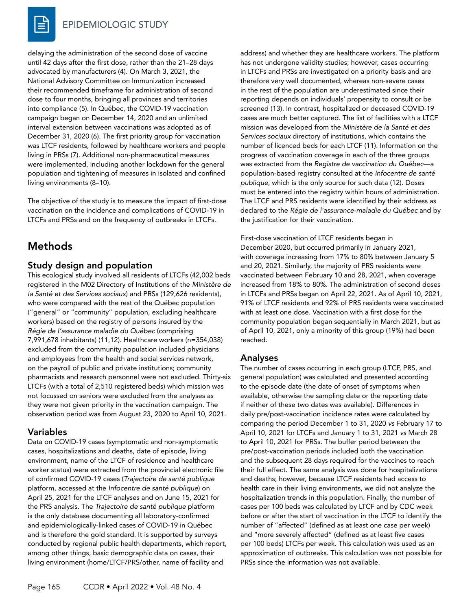

delaying the administration of the second dose of vaccine until 42 days after the first dose, rather than the 21–28 days advocated by manufacturers (4). On March 3, 2021, the National Advisory Committee on Immunization increased their recommended timeframe for administration of second dose to four months, bringing all provinces and territories into compliance (5). In Québec, the COVID-19 vaccination campaign began on December 14, 2020 and an unlimited interval extension between vaccinations was adopted as of December 31, 2020 (6). The first priority group for vaccination was LTCF residents, followed by healthcare workers and people living in PRSs (7). Additional non-pharmaceutical measures were implemented, including another lockdown for the general population and tightening of measures in isolated and confined living environments (8–10).

The objective of the study is to measure the impact of first-dose vaccination on the incidence and complications of COVID-19 in LTCFs and PRSs and on the frequency of outbreaks in LTCFs.

# Methods

### Study design and population

This ecological study involved all residents of LTCFs (42,002 beds registered in the M02 Directory of Institutions of the *Ministère de la Santé et des Services sociaux*) and PRSs (129,626 residents), who were compared with the rest of the Québec population ("general" or "community" population, excluding healthcare workers) based on the registry of persons insured by the *Régie de l'assurance maladie du Québec* (comprising 7,991,678 inhabitants) (11,12). Healthcare workers (n=354,038) excluded from the community population included physicians and employees from the health and social services network, on the payroll of public and private institutions; community pharmacists and research personnel were not excluded. Thirty-six LTCFs (with a total of 2,510 registered beds) which mission was not focussed on seniors were excluded from the analyses as they were not given priority in the vaccination campaign. The observation period was from August 23, 2020 to April 10, 2021.

### Variables

Data on COVID-19 cases (symptomatic and non-symptomatic cases, hospitalizations and deaths, date of episode, living environment, name of the LTCF of residence and healthcare worker status) were extracted from the provincial electronic file of confirmed COVID-19 cases (*Trajectoire de santé publique*  platform, accessed at the *Infocentre de santé publique*) on April 25, 2021 for the LTCF analyses and on June 15, 2021 for the PRS analysis. The *Trajectoire de santé publique* platform is the only database documenting all laboratory-confirmed and epidemiologically-linked cases of COVID-19 in Québec and is therefore the gold standard. It is supported by surveys conducted by regional public health departments, which report, among other things, basic demographic data on cases, their living environment (home/LTCF/PRS/other, name of facility and

address) and whether they are healthcare workers. The platform has not undergone validity studies; however, cases occurring in LTCFs and PRSs are investigated on a priority basis and are therefore very well documented, whereas non-severe cases in the rest of the population are underestimated since their reporting depends on individuals' propensity to consult or be screened (13). In contrast, hospitalized or deceased COVID-19 cases are much better captured. The list of facilities with a LTCF mission was developed from the *Ministère de la Santé et des Services sociaux* directory of institutions, which contains the number of licenced beds for each LTCF (11). Information on the progress of vaccination coverage in each of the three groups was extracted from the *Registre de vaccination du Québec*—a population-based registry consulted at the *Infocentre de santé publique*, which is the only source for such data (12). Doses must be entered into the registry within hours of administration. The LTCF and PRS residents were identified by their address as declared to the *Régie de l'assurance-maladie du Québec* and by the justification for their vaccination.

First-dose vaccination of LTCF residents began in December 2020, but occurred primarily in January 2021, with coverage increasing from 17% to 80% between January 5 and 20, 2021. Similarly, the majority of PRS residents were vaccinated between February 10 and 28, 2021, when coverage increased from 18% to 80%. The administration of second doses in LTCFs and PRSs began on April 22, 2021. As of April 10, 2021, 91% of LTCF residents and 92% of PRS residents were vaccinated with at least one dose. Vaccination with a first dose for the community population began sequentially in March 2021, but as of April 10, 2021, only a minority of this group (19%) had been reached.

### Analyses

The number of cases occurring in each group (LTCF, PRS, and general population) was calculated and presented according to the episode date (the date of onset of symptoms when available, otherwise the sampling date or the reporting date if neither of these two dates was available). Differences in daily pre/post-vaccination incidence rates were calculated by comparing the period December 1 to 31, 2020 *vs* February 17 to April 10, 2021 for LTCFs and January 1 to 31, 2021 *vs* March 28 to April 10, 2021 for PRSs. The buffer period between the pre/post-vaccination periods included both the vaccination and the subsequent 28 days required for the vaccines to reach their full effect. The same analysis was done for hospitalizations and deaths; however, because LTCF residents had access to health care in their living environments, we did not analyze the hospitalization trends in this population. Finally, the number of cases per 100 beds was calculated by LTCF and by CDC week before or after the start of vaccination in the LTCF to identify the number of "affected" (defined as at least one case per week) and "more severely affected" (defined as at least five cases per 100 beds) LTCFs per week. This calculation was used as an approximation of outbreaks. This calculation was not possible for PRSs since the information was not available.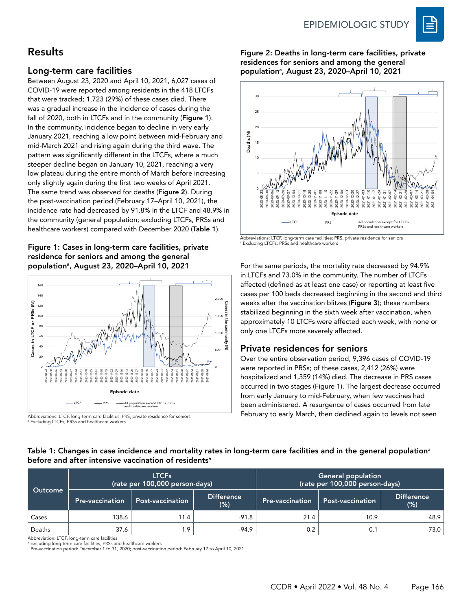

# Results

#### Long-term care facilities

Between August 23, 2020 and April 10, 2021, 6,027 cases of COVID-19 were reported among residents in the 418 LTCFs that were tracked; 1,723 (29%) of these cases died. There was a gradual increase in the incidence of cases during the fall of 2020, both in LTCFs and in the community (Figure 1). In the community, incidence began to decline in very early January 2021, reaching a low point between mid-February and mid‑March 2021 and rising again during the third wave. The pattern was significantly different in the LTCFs, where a much steeper decline began on January 10, 2021, reaching a very low plateau during the entire month of March before increasing only slightly again during the first two weeks of April 2021. The same trend was observed for deaths (Figure 2). During the post-vaccination period (February 17–April 10, 2021), the incidence rate had decreased by 91.8% in the LTCF and 48.9% in the community (general population; excluding LTCFs, PRSs and healthcare workers) compared with December 2020 (Table 1).

#### Figure 1: Cases in long-term care facilities, private residence for seniors and among the general population<sup>a</sup>, August 23, 2020–April 10, 2021



Abbreviations: LTCF, long-term care facilities; PRS, private residence for seniors a Excluding LTCFs, PRSs and healthcare workers

Figure 2: Deaths in long-term care facilities, private residences for seniors and among the general population<sup>a</sup>, August 23, 2020–April 10, 2021



Abbreviations: LTCF, long-term care facilities; PRS, private residence for seniors a Excluding LTCFs, PRSs and healthcare workers

For the same periods, the mortality rate decreased by 94.9% in LTCFs and 73.0% in the community. The number of LTCFs affected (defined as at least one case) or reporting at least five cases per 100 beds decreased beginning in the second and third weeks after the vaccination blitzes (Figure 3); these numbers stabilized beginning in the sixth week after vaccination, when approximately 10 LTCFs were affected each week, with none or only one LTCFs more severely affected.

### Private residences for seniors

Over the entire observation period, 9,396 cases of COVID-19 were reported in PRSs; of these cases, 2,412 (26%) were hospitalized and 1,359 (14%) died. The decrease in PRS cases occurred in two stages (Figure 1). The largest decrease occurred from early January to mid-February, when few vaccines had been administered. A resurgence of cases occurred from late February to early March, then declined again to levels not seen

#### Table 1: Changes in case incidence and mortality rates in long-term care facilities and in the general population<sup>a</sup> before and after intensive vaccination of residents<sup>b</sup>

| Outcome |                        | <b>LTCFs</b><br>(rate per 100,000 person-days) |                              | General population<br>(rate per 100,000 person-days) |                         |                             |
|---------|------------------------|------------------------------------------------|------------------------------|------------------------------------------------------|-------------------------|-----------------------------|
|         | <b>Pre-vaccination</b> | <b>Post-vaccination</b>                        | <b>Difference</b><br>$(\% )$ | <b>Pre-vaccination</b>                               | <b>Post-vaccination</b> | <b>Difference</b><br>$(\%)$ |
| Cases   | 138.6                  | 11.4                                           | $-91.8$                      | 21.4                                                 | 10.9                    | -48.9                       |
| Deaths  | 37.6                   | 1.9                                            | $-94.9$                      | 0.2                                                  | 0.1                     | -73.0                       |

Abbreviation: LTCF, long-term care facilities

a Excluding long-term care facilities, PRSs and healthcare workers

<sup>b</sup> Pre-vaccination period: December 1 to 31, 2020; post-vaccination period: February 17 to April 10, 2021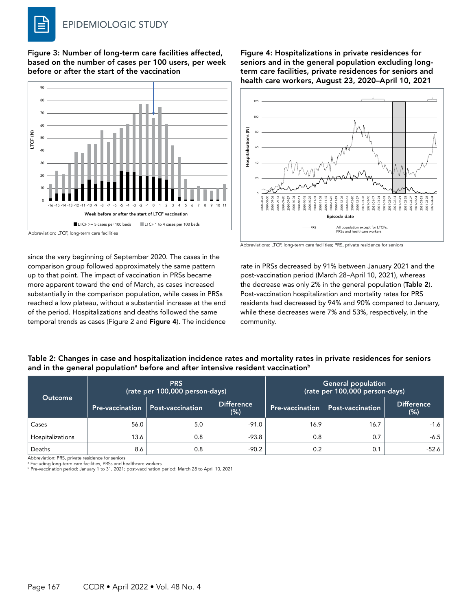Figure 3: Number of long-term care facilities affected, based on the number of cases per 100 users, per week before or after the start of the vaccination



since the very beginning of September 2020. The cases in the comparison group followed approximately the same pattern up to that point. The impact of vaccination in PRSs became more apparent toward the end of March, as cases increased substantially in the comparison population, while cases in PRSs reached a low plateau, without a substantial increase at the end of the period. Hospitalizations and deaths followed the same temporal trends as cases (Figure 2 and Figure 4). The incidence

Figure 4: Hospitalizations in private residences for seniors and in the general population excluding longterm care facilities, private residences for seniors and health care workers, August 23, 2020–April 10, 2021



Abbreviations: LTCF, long-term care facilities; PRS, private residence for seniors

rate in PRSs decreased by 91% between January 2021 and the post-vaccination period (March 28–April 10, 2021), whereas the decrease was only 2% in the general population (Table 2). Post-vaccination hospitalization and mortality rates for PRS residents had decreased by 94% and 90% compared to January, while these decreases were 7% and 53%, respectively, in the community.

|                  |                        | <b>PRS</b><br>(rate per 100,000 person-days) |                          | <b>General population</b><br>(rate per 100,000 person-days) |                         |                          |
|------------------|------------------------|----------------------------------------------|--------------------------|-------------------------------------------------------------|-------------------------|--------------------------|
| <b>Outcome</b>   | <b>Pre-vaccination</b> | <b>Post-vaccination</b>                      | <b>Difference</b><br>(%) | <b>Pre-vaccination</b>                                      | <b>Post-vaccination</b> | <b>Difference</b><br>(%) |
| Cases            | 56.0                   | 5.0                                          | $-91.0$                  | 16.9                                                        | 16.7                    | $-1.6$                   |
| Hospitalizations | 13.6                   | 0.8                                          | $-93.8$                  | 0.8                                                         | 0.7                     | $-6.5$                   |
| Deaths           | 8.6                    | 0.8                                          | $-90.2$                  | 0.2                                                         | 0.1                     | -52.6                    |

Table 2: Changes in case and hospitalization incidence rates and mortality rates in private residences for seniors and in the general populationª before and after intensive resident vaccination<sup>b</sup>

Abbreviation: PRS, private residence for seniors

a Excluding long-term care facilities, PRSs and healthcare workers <sup>b</sup> Pre-vaccination period: January 1 to 31, 2021; post-vaccination period: March 28 to April 10, 2021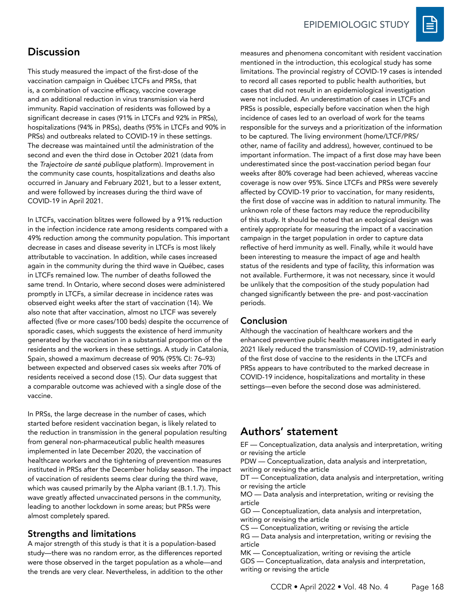

# **Discussion**

This study measured the impact of the first-dose of the vaccination campaign in Québec LTCFs and PRSs, that is, a combination of vaccine efficacy, vaccine coverage and an additional reduction in virus transmission via herd immunity. Rapid vaccination of residents was followed by a significant decrease in cases (91% in LTCFs and 92% in PRSs), hospitalizations (94% in PRSs), deaths (95% in LTCFs and 90% in PRSs) and outbreaks related to COVID-19 in these settings. The decrease was maintained until the administration of the second and even the third dose in October 2021 (data from the *Trajectoire de santé publique* platform). Improvement in the community case counts, hospitalizations and deaths also occurred in January and February 2021, but to a lesser extent, and were followed by increases during the third wave of COVID-19 in April 2021.

In LTCFs, vaccination blitzes were followed by a 91% reduction in the infection incidence rate among residents compared with a 49% reduction among the community population. This important decrease in cases and disease severity in LTCFs is most likely attributable to vaccination. In addition, while cases increased again in the community during the third wave in Québec, cases in LTCFs remained low. The number of deaths followed the same trend. In Ontario, where second doses were administered promptly in LTCFs, a similar decrease in incidence rates was observed eight weeks after the start of vaccination (14). We also note that after vaccination, almost no LTCF was severely affected (five or more cases/100 beds) despite the occurrence of sporadic cases, which suggests the existence of herd immunity generated by the vaccination in a substantial proportion of the residents and the workers in these settings. A study in Catalonia, Spain, showed a maximum decrease of 90% (95% CI: 76–93) between expected and observed cases six weeks after 70% of residents received a second dose (15). Our data suggest that a comparable outcome was achieved with a single dose of the vaccine.

In PRSs, the large decrease in the number of cases, which started before resident vaccination began, is likely related to the reduction in transmission in the general population resulting from general non-pharmaceutical public health measures implemented in late December 2020, the vaccination of healthcare workers and the tightening of prevention measures instituted in PRSs after the December holiday season. The impact of vaccination of residents seems clear during the third wave, which was caused primarily by the Alpha variant (B.1.1.7). This wave greatly affected unvaccinated persons in the community, leading to another lockdown in some areas; but PRSs were almost completely spared.

### Strengths and limitations

A major strength of this study is that it is a population-based study—there was no random error, as the differences reported were those observed in the target population as a whole—and the trends are very clear. Nevertheless, in addition to the other measures and phenomena concomitant with resident vaccination mentioned in the introduction, this ecological study has some limitations. The provincial registry of COVID-19 cases is intended to record all cases reported to public health authorities, but cases that did not result in an epidemiological investigation were not included. An underestimation of cases in LTCFs and PRSs is possible, especially before vaccination when the high incidence of cases led to an overload of work for the teams responsible for the surveys and a prioritization of the information to be captured. The living environment (home/LTCF/PRS/ other, name of facility and address), however, continued to be important information. The impact of a first dose may have been underestimated since the post-vaccination period began four weeks after 80% coverage had been achieved, whereas vaccine coverage is now over 95%. Since LTCFs and PRSs were severely affected by COVID-19 prior to vaccination, for many residents, the first dose of vaccine was in addition to natural immunity. The unknown role of these factors may reduce the reproducibility of this study. It should be noted that an ecological design was entirely appropriate for measuring the impact of a vaccination campaign in the target population in order to capture data reflective of herd immunity as well. Finally, while it would have been interesting to measure the impact of age and health status of the residents and type of facility, this information was not available. Furthermore, it was not necessary, since it would be unlikely that the composition of the study population had changed significantly between the pre- and post-vaccination periods.

#### Conclusion

Although the vaccination of healthcare workers and the enhanced preventive public health measures instigated in early 2021 likely reduced the transmission of COVID-19, administration of the first dose of vaccine to the residents in the LTCFs and PRSs appears to have contributed to the marked decrease in COVID-19 incidence, hospitalizations and mortality in these settings—even before the second dose was administered.

# Authors' statement

EF — Conceptualization, data analysis and interpretation, writing or revising the article

PDW — Conceptualization, data analysis and interpretation, writing or revising the article

DT — Conceptualization, data analysis and interpretation, writing or revising the article

MO — Data analysis and interpretation, writing or revising the article

GD — Conceptualization, data analysis and interpretation, writing or revising the article

CS — Conceptualization, writing or revising the article

RG — Data analysis and interpretation, writing or revising the article

MK — Conceptualization, writing or revising the article GDS — Conceptualization, data analysis and interpretation, writing or revising the article